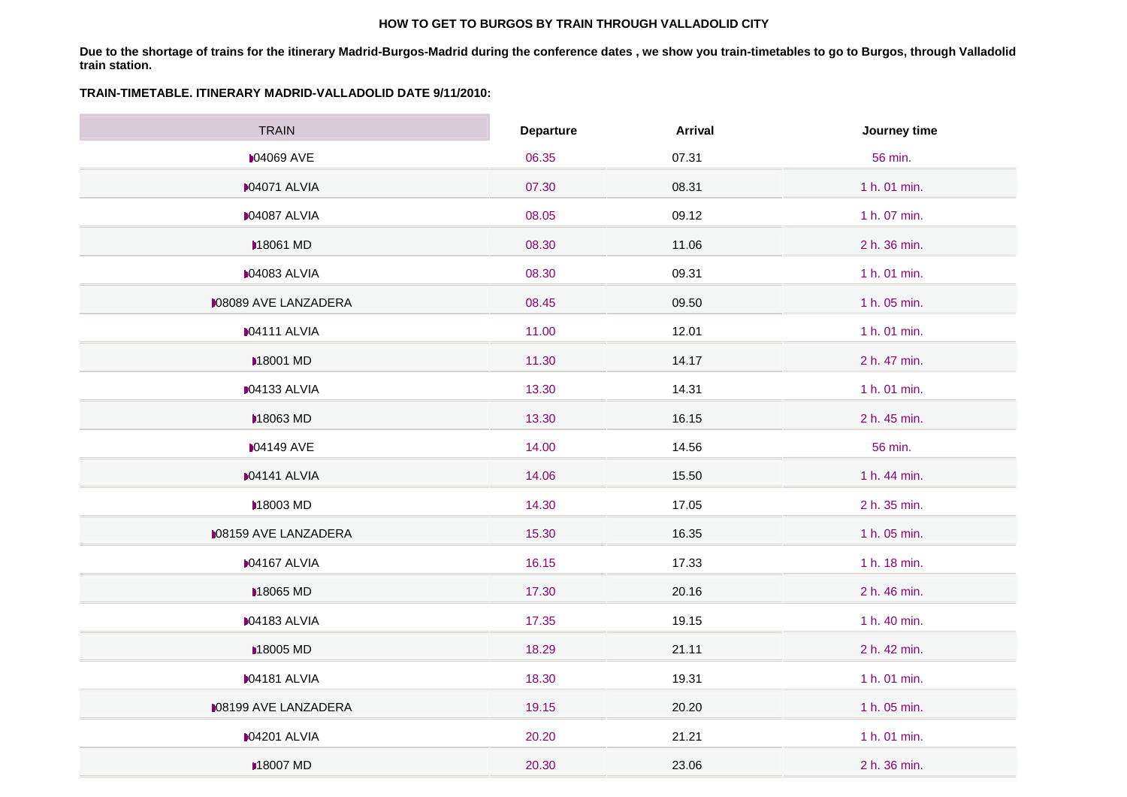#### **HOW TO GET TO BURGOS BY TRAIN THROUGH VALLADOLID CITY**

**Due to the shortage of trains for the itinerary Madrid-Burgos-Madrid during the conference dates , we show you train-timetables to go to Burgos, through Valladolid train station.** 

#### **TRAIN-TIMETABLE. ITINERARY MADRID-VALLADOLID DATE 9/11/2010:**

 $\sim$ 

| <b>TRAIN</b>                | <b>Departure</b> | <b>Arrival</b> | Journey time |
|-----------------------------|------------------|----------------|--------------|
| <b>M04069 AVE</b>           | 06.35            | 07.31          | 56 min.      |
| <b>M04071 ALVIA</b>         | 07.30            | 08.31          | 1 h. 01 min. |
| D04087 ALVIA                | 08.05            | 09.12          | 1 h. 07 min. |
| <b>■18061 MD</b>            | 08.30            | 11.06          | 2 h. 36 min. |
| <b>M04083 ALVIA</b>         | 08.30            | 09.31          | 1 h. 01 min. |
| <b>M08089 AVE LANZADERA</b> | 08.45            | 09.50          | 1 h. 05 min. |
| D04111 ALVIA                | 11.00            | 12.01          | 1 h. 01 min. |
| <b>■18001 MD</b>            | 11.30            | 14.17          | 2 h. 47 min. |
| <b>04133 ALVIA</b>          | 13.30            | 14.31          | 1 h. 01 min. |
| <b>■18063 MD</b>            | 13.30            | 16.15          | 2 h. 45 min. |
| <b>04149 AVE</b>            | 14.00            | 14.56          | 56 min.      |
| <b>IO4141 ALVIA</b>         | 14.06            | 15.50          | 1 h. 44 min. |
| <b>■18003 MD</b>            | 14.30            | 17.05          | 2 h. 35 min. |
| <b>M08159 AVE LANZADERA</b> | 15.30            | 16.35          | 1 h. 05 min. |
| <b>M04167 ALVIA</b>         | 16.15            | 17.33          | 1 h. 18 min. |
| <b>■18065 MD</b>            | 17.30            | 20.16          | 2 h. 46 min. |
| D04183 ALVIA                | 17.35            | 19.15          | 1 h. 40 min. |
| <b>■18005 MD</b>            | 18.29            | 21.11          | 2 h. 42 min. |
| <b>IO4181 ALVIA</b>         | 18.30            | 19.31          | 1 h. 01 min. |
| <b>M08199 AVE LANZADERA</b> | 19.15            | 20.20          | 1 h. 05 min. |
| <b>04201 ALVIA</b>          | 20.20            | 21.21          | 1 h. 01 min. |
| <b>■18007 MD</b>            | 20.30            | 23.06          | 2 h. 36 min. |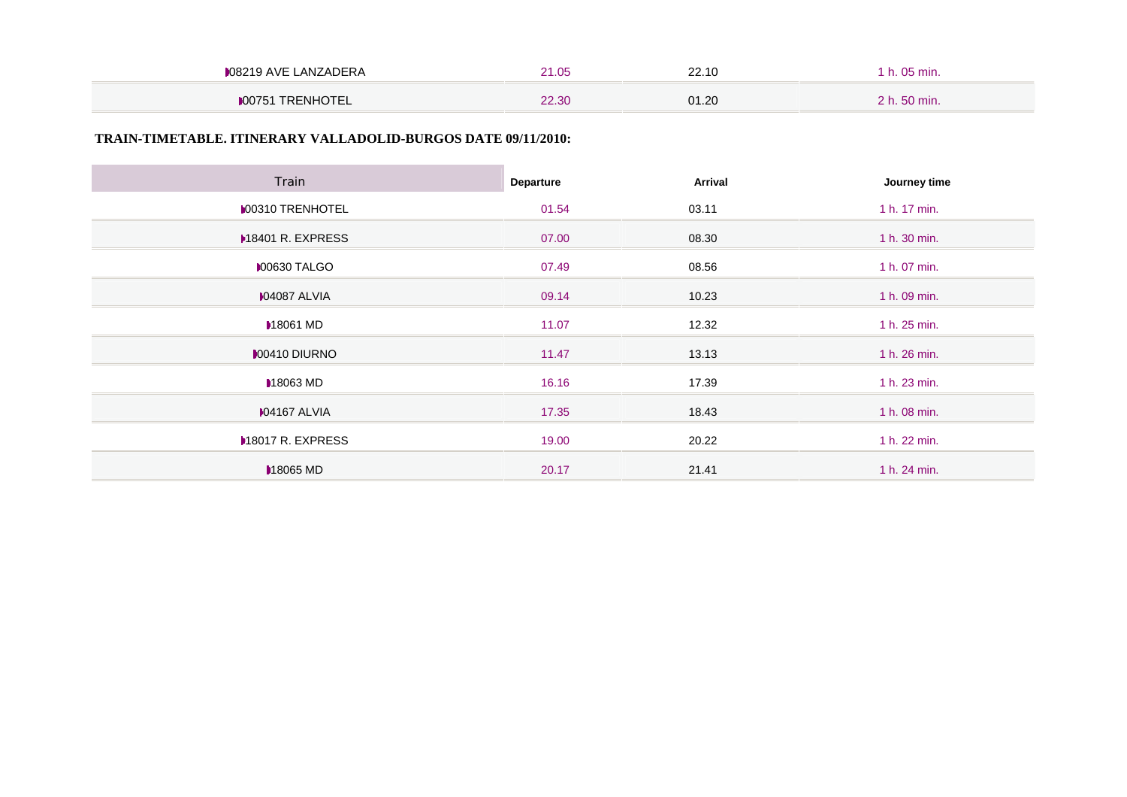| LANZADERA<br><b>∌08219 AVE</b><br>.00018 | ∩₽<br>. u u | 22.10 |      |
|------------------------------------------|-------------|-------|------|
| TRENHOTEL<br>00751                       | 22.30       | 01.20 | min. |

### **TRAIN-TIMETABLE. ITINERARY VALLADOLID-BURGOS DATE 09/11/2010:**

| Train                   | Departure | <b>Arrival</b> | Journey time |
|-------------------------|-----------|----------------|--------------|
| <b>MO0310 TRENHOTEL</b> | 01.54     | 03.11          | 1 h. 17 min. |
| ▶18401 R. EXPRESS       | 07.00     | 08.30          | 1 h. 30 min. |
| <b>00630 TALGO</b>      | 07.49     | 08.56          | 1 h. 07 min. |
| <b>MO4087 ALVIA</b>     | 09.14     | 10.23          | 1 h. 09 min. |
| <b>■18061 MD</b>        | 11.07     | 12.32          | 1 h. 25 min. |
| <b>MO0410 DIURNO</b>    | 11.47     | 13.13          | 1 h. 26 min. |
| 18063 MD                | 16.16     | 17.39          | 1 h. 23 min. |
| <b>M04167 ALVIA</b>     | 17.35     | 18.43          | 1 h. 08 min. |
| <b>M8017 R. EXPRESS</b> | 19.00     | 20.22          | 1 h. 22 min. |
| 18065 MD                | 20.17     | 21.41          | 1 h. 24 min. |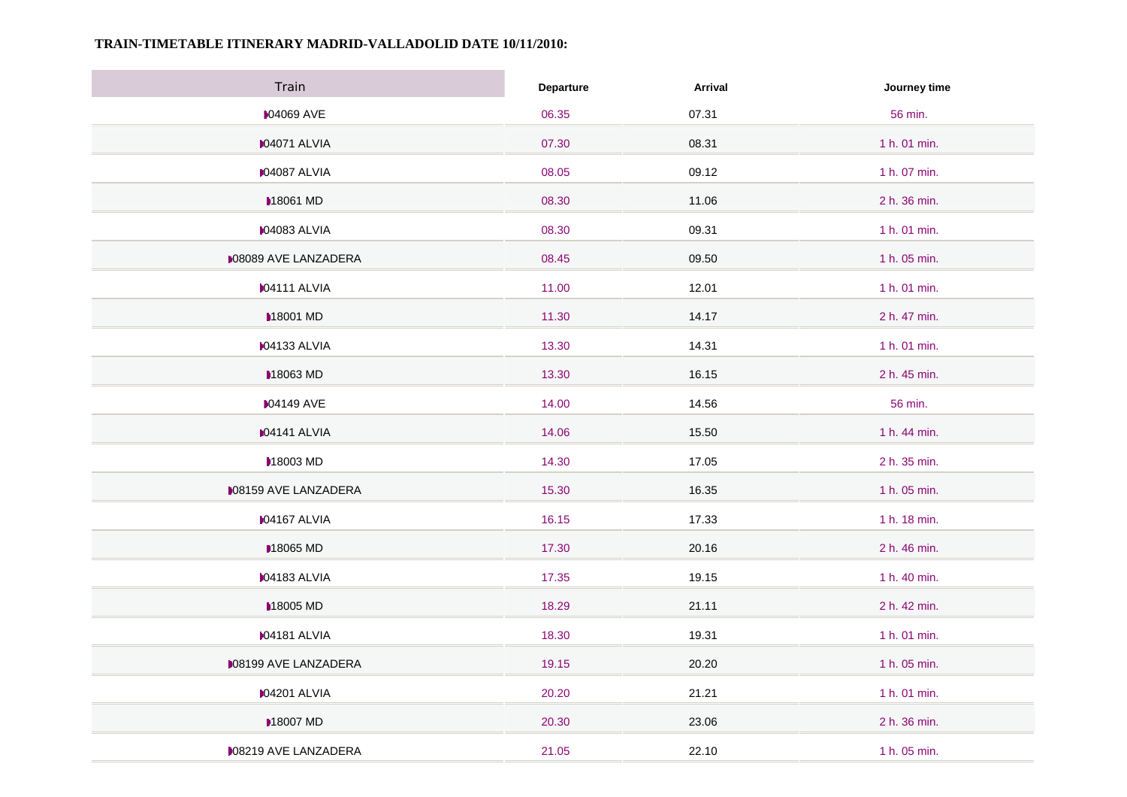## **TRAIN-TIMETABLE ITINERARY MADRID-VALLADOLID DATE 10/11/2010:**

| Train                       | Departure | Arrival | Journey time |
|-----------------------------|-----------|---------|--------------|
| <b>04069 AVE</b>            | 06.35     | 07.31   | 56 min.      |
| <b>04071 ALVIA</b>          | 07.30     | 08.31   | 1 h. 01 min. |
| <b>04087 ALVIA</b>          | 08.05     | 09.12   | 1 h. 07 min. |
| <b>18061 MD</b>             | 08.30     | 11.06   | 2 h. 36 min. |
| <b>04083 ALVIA</b>          | 08.30     | 09.31   | 1 h. 01 min. |
| <b>MO8089 AVE LANZADERA</b> | 08.45     | 09.50   | 1 h. 05 min. |
| <b>IO4111 ALVIA</b>         | 11.00     | 12.01   | 1 h. 01 min. |
| <b>■18001 MD</b>            | 11.30     | 14.17   | 2 h. 47 min. |
| <b>M04133 ALVIA</b>         | 13.30     | 14.31   | 1 h. 01 min. |
| 18063 MD                    | 13.30     | 16.15   | 2 h. 45 min. |
| <b>04149 AVE</b>            | 14.00     | 14.56   | 56 min.      |
| <b>IO4141 ALVIA</b>         | 14.06     | 15.50   | 1 h. 44 min. |
| 18003 MD                    | 14.30     | 17.05   | 2 h. 35 min. |
| <b>M08159 AVE LANZADERA</b> | 15.30     | 16.35   | 1 h. 05 min. |
| <b>04167 ALVIA</b>          | 16.15     | 17.33   | 1 h. 18 min. |
| <b>■18065 MD</b>            | 17.30     | 20.16   | 2 h. 46 min. |
| <b>IO4183 ALVIA</b>         | 17.35     | 19.15   | 1 h. 40 min. |
| <b>■18005 MD</b>            | 18.29     | 21.11   | 2 h. 42 min. |
| D04181 ALVIA                | 18.30     | 19.31   | 1 h. 01 min. |
| <b>M08199 AVE LANZADERA</b> | 19.15     | 20.20   | 1 h. 05 min. |
| <b>04201 ALVIA</b>          | 20.20     | 21.21   | 1 h. 01 min. |
| <b>■18007 MD</b>            | 20.30     | 23.06   | 2 h. 36 min. |
| <b>08219 AVE LANZADERA</b>  | 21.05     | 22.10   | 1 h. 05 min. |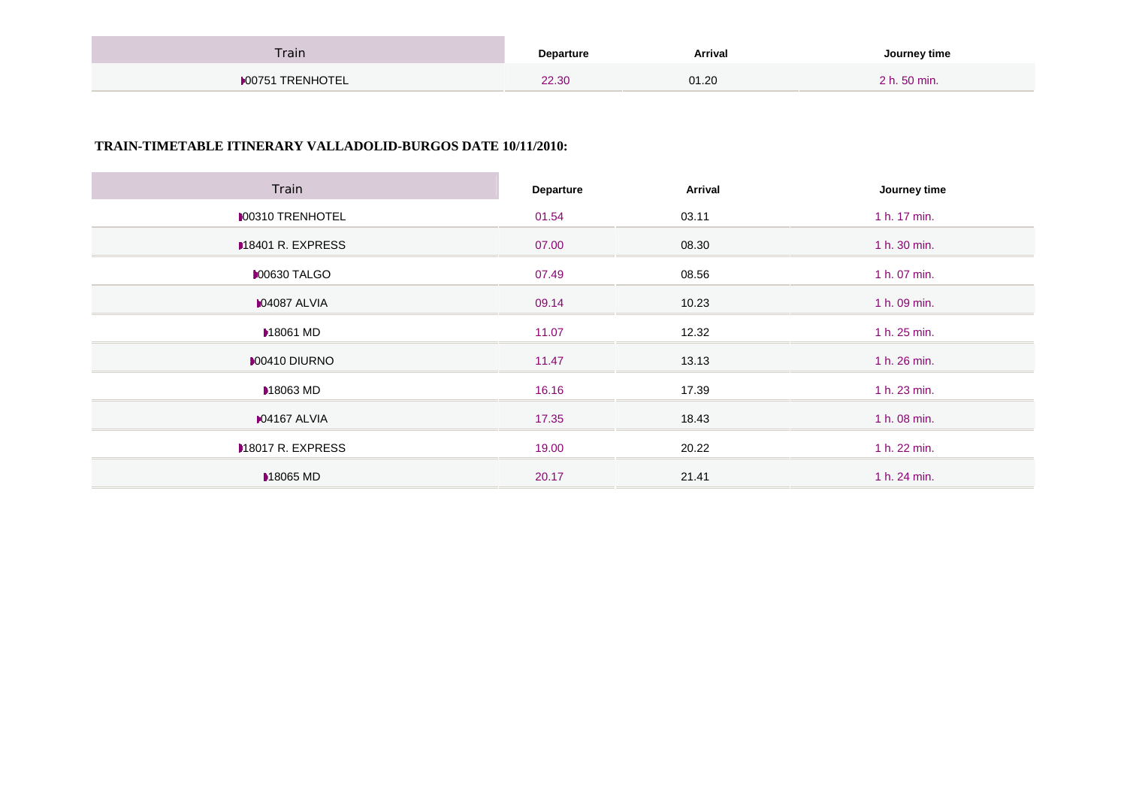| Train                   | Departure | Arrival | Journey time |
|-------------------------|-----------|---------|--------------|
| <b>▶00751 TRENHOTEL</b> | 22.30     | 01.20   | 2 h. 50 min. |

# **TRAIN-TIMETABLE ITINERARY VALLADOLID-BURGOS DATE 10/11/2010:**

| Train                   | Departure | Arrival | Journey time |
|-------------------------|-----------|---------|--------------|
| <b>MOO310 TRENHOTEL</b> | 01.54     | 03.11   | 1 h. 17 min. |
| M8401 R. EXPRESS        | 07.00     | 08.30   | 1 h. 30 min. |
| <b>00630 TALGO</b>      | 07.49     | 08.56   | 1 h. 07 min. |
| <b>M04087 ALVIA</b>     | 09.14     | 10.23   | 1 h. 09 min. |
| <b>▶18061 MD</b>        | 11.07     | 12.32   | 1 h. 25 min. |
| <b>MO0410 DIURNO</b>    | 11.47     | 13.13   | 1 h. 26 min. |
| <b>■18063 MD</b>        | 16.16     | 17.39   | 1 h. 23 min. |
| <b>04167 ALVIA</b>      | 17.35     | 18.43   | 1 h. 08 min. |
| M8017 R. EXPRESS        | 19.00     | 20.22   | 1 h. 22 min. |
| <b>M</b> 18065 MD       | 20.17     | 21.41   | 1 h. 24 min. |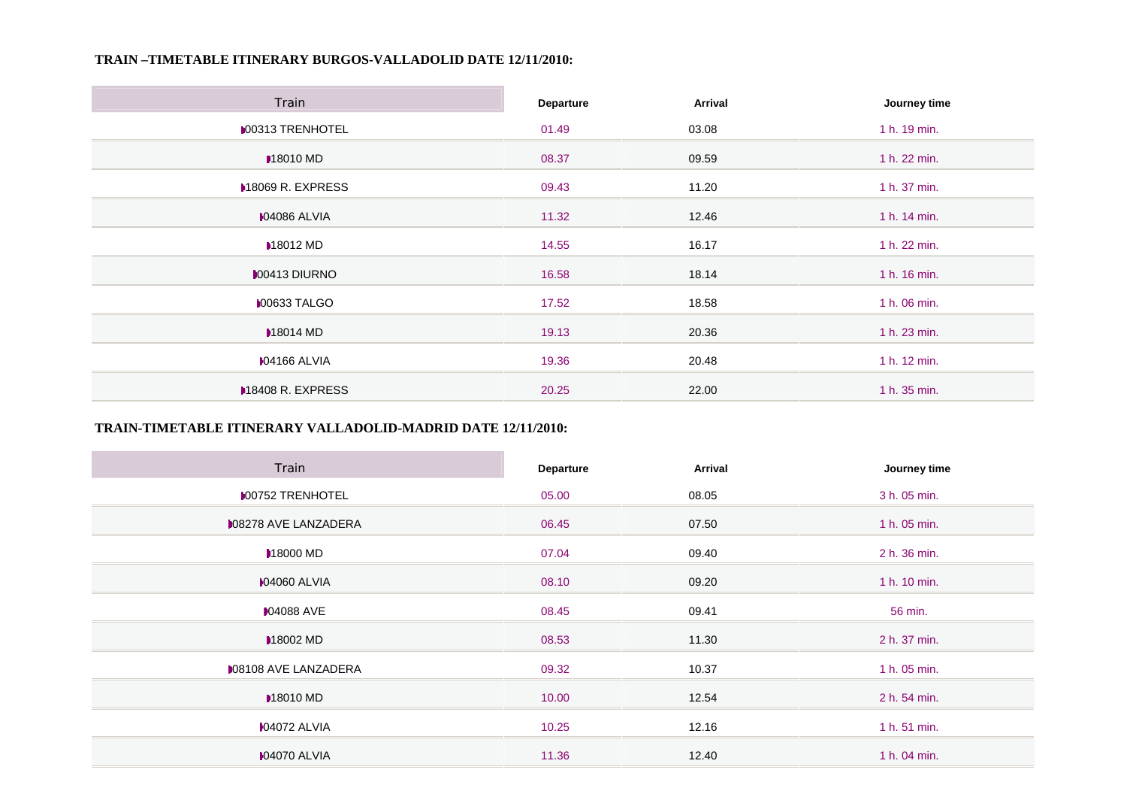## **TRAIN –TIMETABLE ITINERARY BURGOS-VALLADOLID DATE 12/11/2010:**

| Train                    | <b>Departure</b> | Arrival | Journey time |
|--------------------------|------------------|---------|--------------|
| <b>MOO313 TRENHOTEL</b>  | 01.49            | 03.08   | 1 h. 19 min. |
| <b>18010 MD</b>          | 08.37            | 09.59   | 1 h. 22 min. |
| <b>M8069 R. EXPRESS</b>  | 09.43            | 11.20   | 1 h. 37 min. |
| <b>M04086 ALVIA</b>      | 11.32            | 12.46   | 1 h. 14 min. |
| <b>■18012 MD</b>         | 14.55            | 16.17   | 1 h. 22 min. |
| <b>MO0413 DIURNO</b>     | 16.58            | 18.14   | 1 h. 16 min. |
| <b>00633 TALGO</b>       | 17.52            | 18.58   | 1 h. 06 min. |
| <b>M8014 MD</b>          | 19.13            | 20.36   | 1 h. 23 min. |
| <b>M04166 ALVIA</b>      | 19.36            | 20.48   | 1 h. 12 min. |
| <b>M18408 R. EXPRESS</b> | 20.25            | 22.00   | 1 h. 35 min. |

## **TRAIN-TIMETABLE ITINERARY VALLADOLID-MADRID DATE 12/11/2010:**

 $\sim$ 

| Train                       | Departure | Arrival | Journey time |
|-----------------------------|-----------|---------|--------------|
| <b>MOO752 TRENHOTEL</b>     | 05.00     | 08.05   | 3 h. 05 min. |
| <b>008278 AVE LANZADERA</b> | 06.45     | 07.50   | 1 h. 05 min. |
| <b>M8000 MD</b>             | 07.04     | 09.40   | 2 h. 36 min. |
| <b>104060 ALVIA</b>         | 08.10     | 09.20   | 1 h. 10 min. |
| <b>■ 04088 AVE</b>          | 08.45     | 09.41   | 56 min.      |
| <b>M8002 MD</b>             | 08.53     | 11.30   | 2 h. 37 min. |
| <b>008108 AVE LANZADERA</b> | 09.32     | 10.37   | 1 h. 05 min. |
| <b>M8010 MD</b>             | 10.00     | 12.54   | 2 h. 54 min. |
| <b>M04072 ALVIA</b>         | 10.25     | 12.16   | 1 h. 51 min. |
| <b>IO4070 ALVIA</b>         | 11.36     | 12.40   | 1 h. 04 min. |